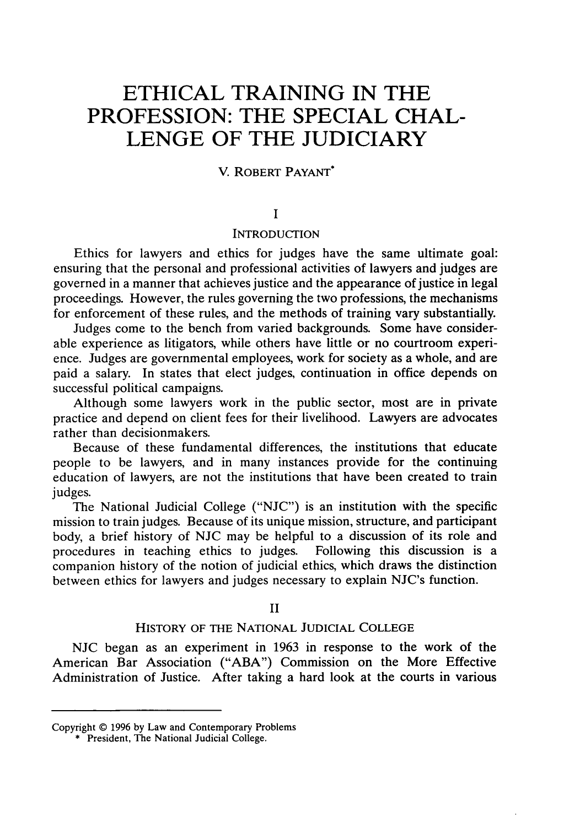# **ETHICAL TRAINING IN THE PROFESSION: THE SPECIAL CHAL-LENGE OF THE JUDICIARY**

## V. ROBERT PAYANT\*

#### **I**

#### **INTRODUCTION**

Ethics for lawyers and ethics for judges have the same ultimate goal: ensuring that the personal and professional activities of lawyers and judges are governed in a manner that achieves justice and the appearance of justice in legal proceedings. However, the rules governing the two professions, the mechanisms for enforcement of these rules, and the methods of training vary substantially.

Judges come to the bench from varied backgrounds. Some have considerable experience as litigators, while others have little or no courtroom experience. Judges are governmental employees, work for society as a whole, and are paid a salary. In states that elect judges, continuation in office depends on successful political campaigns.

Although some lawyers work in the public sector, most are in private practice and depend on client fees for their livelihood. Lawyers are advocates rather than decisionmakers.

Because of these fundamental differences, the institutions that educate people to be lawyers, and in many instances provide for the continuing education of lawyers, are not the institutions that have been created to train judges.

The National Judicial College ("NJC") is an institution with the specific mission to train judges. Because of its unique mission, structure, and participant body, a brief history of NJC may be helpful to a discussion of its role and procedures in teaching ethics to judges. Following this discussion is a procedures in teaching ethics to judges. companion history of the notion of judicial ethics, which draws the distinction between ethics for lawyers and judges necessary to explain NJC's function.

#### II

## HISTORY OF THE NATIONAL JUDICIAL COLLEGE

NJC began as an experiment in 1963 in response to the work of the American Bar Association ("ABA") Commission on the More Effective Administration of Justice. After taking a hard look at the courts in various

Copyright © 1996 by Law and Contemporary Problems

<sup>\*</sup> President, The National Judicial College.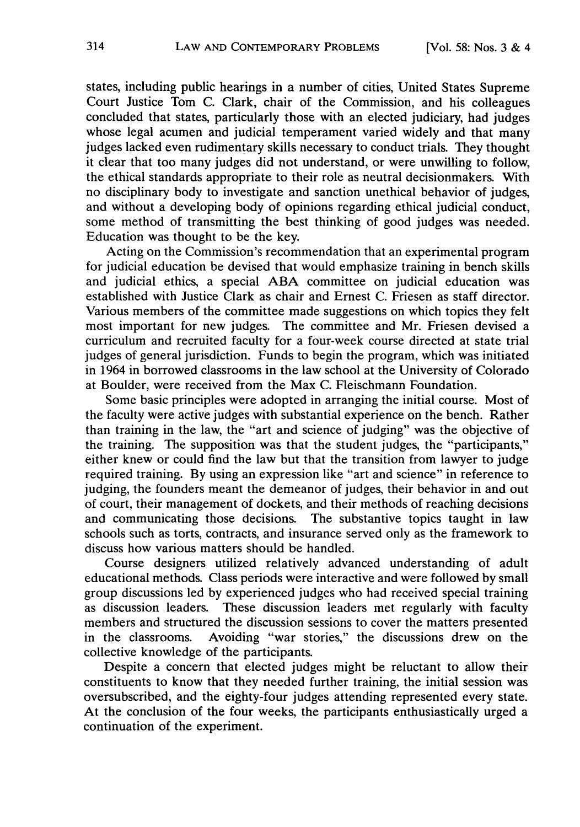states, including public hearings in a number of cities, United States Supreme Court Justice Tom C. Clark, chair of the Commission, and his colleagues concluded that states, particularly those with an elected judiciary, had judges whose legal acumen and judicial temperament varied widely and that many judges lacked even rudimentary skills necessary to conduct trials. They thought it clear that too many judges did not understand, or were unwilling to follow, the ethical standards appropriate to their role as neutral decisionmakers. With no disciplinary body to investigate and sanction unethical behavior of judges, and without a developing body of opinions regarding ethical judicial conduct, some method of transmitting the best thinking of good judges was needed. Education was thought to be the key.

Acting on the Commission's recommendation that an experimental program for judicial education be devised that would emphasize training in bench skills and judicial ethics, a special ABA committee on judicial education was established with Justice Clark as chair and Ernest C. Friesen as staff director. Various members of the committee made suggestions on which topics they felt most important for new judges. The committee and Mr. Friesen devised a curriculum and recruited faculty for a four-week course directed at state trial judges of general jurisdiction. Funds to begin the program, which was initiated in 1964 in borrowed classrooms in the law school at the University of Colorado at Boulder, were received from the Max C. Fleischmann Foundation.

Some basic principles were adopted in arranging the initial course. Most of the faculty were active judges with substantial experience on the bench. Rather than training in the law, the "art and science of judging" was the objective of the training. The supposition was that the student judges, the "participants," either knew or could find the law but that the transition from lawyer to judge required training. By using an expression like "art and science" in reference to judging, the founders meant the demeanor of judges, their behavior in and out of court, their management of dockets, and their methods of reaching decisions and communicating those decisions. The substantive topics taught in law schools such as torts, contracts, and insurance served only as the framework to discuss how various matters should be handled.

Course designers utilized relatively advanced understanding of adult educational methods. Class periods were interactive and were followed by small group discussions led by experienced judges who had received special training as discussion leaders. These discussion leaders met regularly with faculty members and structured the discussion sessions to cover the matters presented in the classrooms. Avoiding "war stories," the discussions drew on the collective knowledge of the participants.

Despite a concern that elected judges might be reluctant to allow their constituents to know that they needed further training, the initial session was oversubscribed, and the eighty-four judges attending represented every state. At the conclusion of the four weeks, the participants enthusiastically urged a continuation of the experiment.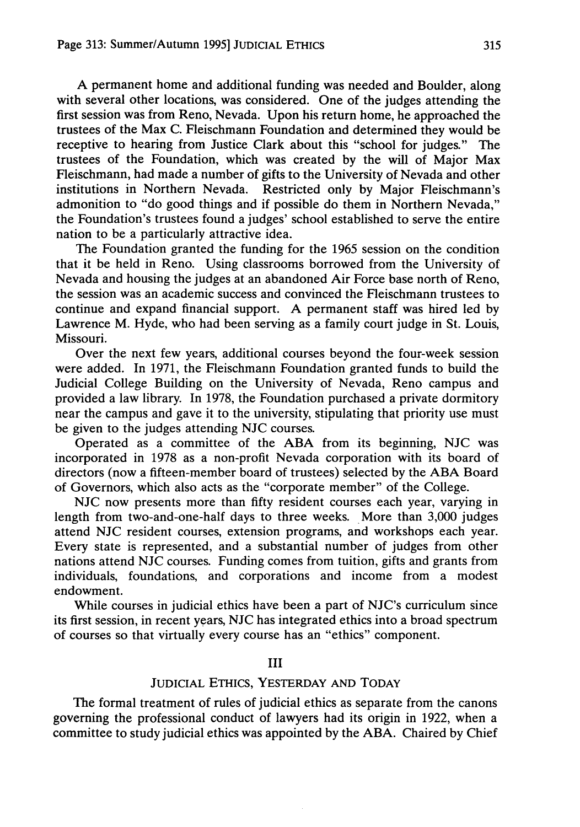A permanent home and additional funding was needed and Boulder, along with several other locations, was considered. One of the judges attending the first session was from Reno, Nevada. Upon his return home, he approached the trustees of the Max C. Fleischmann Foundation and determined they would be receptive to hearing from Justice Clark about this "school for judges." The trustees of the Foundation, which was created by the will of Major Max Fleischmann, had made a number of gifts to the University of Nevada and other institutions in Northern Nevada. Restricted only by Major Fleischmann's admonition to "do good things and if possible do them in Northern Nevada," the Foundation's trustees found a judges' school established to serve the entire nation to be a particularly attractive idea.

The Foundation granted the funding for the 1965 session on the condition that it be held in Reno. Using classrooms borrowed from the University of Nevada and housing the judges at an abandoned Air Force base north of Reno, the session was an academic success and convinced the Fleischmann trustees to continue and expand financial support. A permanent staff was hired led by Lawrence M. Hyde, who had been serving as a family court judge in St. Louis, Missouri.

Over the next few years, additional courses beyond the four-week session were added. In 1971, the Fleischmann Foundation granted funds to build the Judicial College Building on the University of Nevada, Reno campus and provided a law library. In 1978, the Foundation purchased a private dormitory near the campus and gave it to the university, stipulating that priority use must be given to the judges attending NJC courses.

Operated as a committee of the ABA from its beginning, NJC was incorporated in 1978 as a non-profit Nevada corporation with its board of directors (now a fifteen-member board of trustees) selected by the ABA Board of Governors, which also acts as the "corporate member" of the College.

NJC now presents more than fifty resident courses each year, varying in length from two-and-one-half days to three weeks. More than 3,000 judges attend NJC resident courses, extension programs, and workshops each year. Every state is represented, and a substantial number of judges from other nations attend NJC courses. Funding comes from tuition, gifts and grants from individuals, foundations, and corporations and income from a modest endowment.

While courses in judicial ethics have been a part of NJC's curriculum since its first session, in recent years, NJC has integrated ethics into a broad spectrum of courses so that virtually every course has an "ethics" component.

## III

## **JUDICIAL** ETHICS, YESTERDAY **AND** TODAY

The formal treatment of rules of judicial ethics as separate from the canons governing the professional conduct of lawyers had its origin in 1922, when a committee to study judicial ethics was appointed by the ABA. Chaired by Chief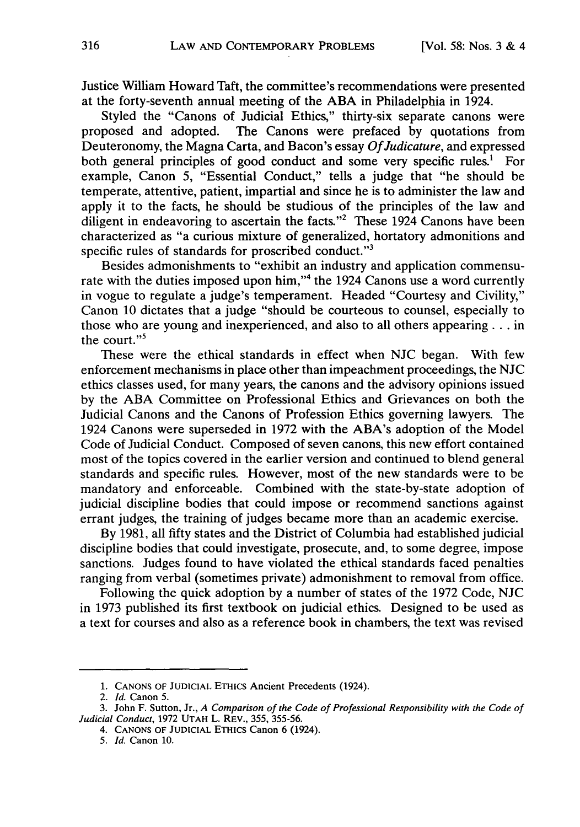Justice William Howard Taft, the committee's recommendations were presented at the forty-seventh annual meeting of the ABA in Philadelphia in 1924.

Styled the "Canons of Judicial Ethics," thirty-six separate canons were proposed and adopted. The Canons were prefaced by quotations from Deuteronomy, the Magna Carta, and Bacon's essay *Of Judicature,* and expressed both general principles of good conduct and some very specific rules.' For example, Canon 5, "Essential Conduct," tells a judge that "he should be temperate, attentive, patient, impartial and since he is to administer the law and apply it to the facts, he should be studious of the principles of the law and diligent in endeavoring to ascertain the facts."<sup>2</sup> These 1924 Canons have been characterized as "a curious mixture of generalized, hortatory admonitions and specific rules of standards for proscribed conduct."<sup>3</sup>

Besides admonishments to "exhibit an industry and application commensurate with the duties imposed upon him,"<sup>4</sup> the 1924 Canons use a word currently in vogue to regulate a judge's temperament. Headed "Courtesy and Civility," Canon 10 dictates that a judge "should be courteous to counsel, especially to those who are young and inexperienced, and also to all others appearing **...** in the court." $5$ 

These were the ethical standards in effect when NJC began. With few enforcement mechanisms in place other than impeachment proceedings, the NJC ethics classes used, for many years, the canons and the advisory opinions issued by the ABA Committee on Professional Ethics and Grievances on both the Judicial Canons and the Canons of Profession Ethics governing lawyers. The 1924 Canons were superseded in 1972 with the ABA's adoption of the Model Code of Judicial Conduct. Composed of seven canons, this new effort contained most of the topics covered in the earlier version and continued to blend general standards and specific rules. However, most of the new standards were to be mandatory and enforceable. Combined with the state-by-state adoption of judicial discipline bodies that could impose or recommend sanctions against errant judges, the training of judges became more than an academic exercise.

By 1981, all fifty states and the District of Columbia had established judicial discipline bodies that could investigate, prosecute, and, to some degree, impose sanctions. Judges found to have violated the ethical standards faced penalties ranging from verbal (sometimes private) admonishment to removal from office.

Following the quick adoption by a number of states of the 1972 Code, NJC in 1973 published its first textbook on judicial ethics. Designed to be used as a text for courses and also as a reference book in chambers, the text was revised

**<sup>1.</sup>** CANONS OF JUDICIAL ETHICS Ancient Precedents (1924).

*<sup>2.</sup> Id.* Canon 5.

<sup>3.</sup> John F. Sutton, Jr., *A Comparison of the Code of Professional Responsibility with the Code of Judicial Conduct,* 1972 UTAH L. REV., 355, 355-56.

<sup>4.</sup> CANONS OF JUDICIAL ETHICS Canon 6 (1924).

*<sup>5.</sup> Id.* Canon 10.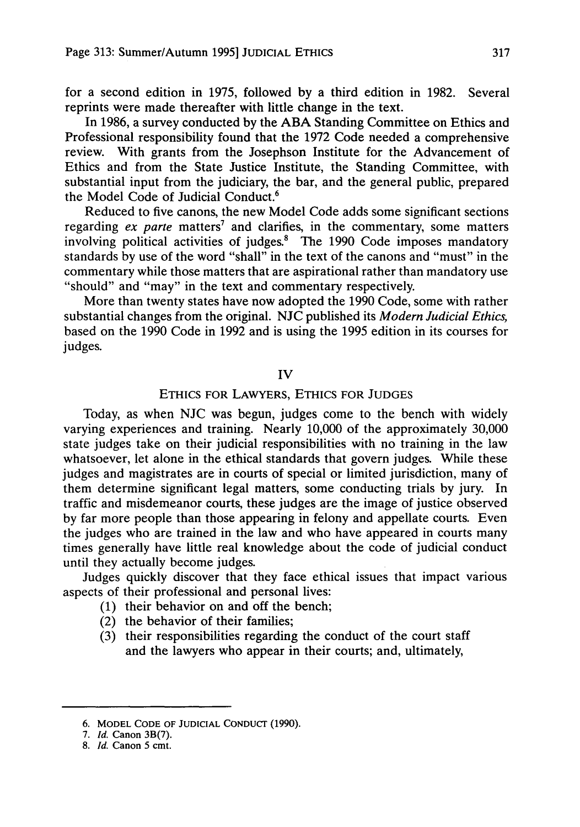for a second edition in 1975, followed by a third edition in 1982. Several reprints were made thereafter with little change in the text.

In 1986, a survey conducted by the **ABA** Standing Committee on Ethics and Professional responsibility found that the 1972 Code needed a comprehensive review. With grants from the Josephson Institute for the Advancement of Ethics and from the State Justice Institute, the Standing Committee, with substantial input from the judiciary, the bar, and the general public, prepared the Model Code of Judicial Conduct.6

Reduced to five canons, the new Model Code adds some significant sections regarding *ex parte* matters<sup>7</sup> and clarifies, in the commentary, some matters involving political activities of judges.' The 1990 Code imposes mandatory standards by use of the word "shall" in the text of the canons and "must" in the commentary while those matters that are aspirational rather than mandatory use "should" and "may" in the text and commentary respectively.

More than twenty states have now adopted the 1990 Code, some with rather substantial changes from the original. NJC published its *Modern Judicial Ethics,* based on the 1990 Code in 1992 and is using the 1995 edition in its courses for judges.

IV

## **ETHICS** FOR LAWYERS, ETHICS FOR **JUDGES**

Today, as when NJC was begun, judges come to the bench with widely varying experiences and training. Nearly 10,000 of the approximately 30,000 state judges take on their judicial responsibilities with no training in the law whatsoever, let alone in the ethical standards that govern judges. While these judges and magistrates are in courts of special or limited jurisdiction, many of them determine significant legal matters, some conducting trials by jury. In traffic and misdemeanor courts, these judges are the image of justice observed by far more people than those appearing in felony and appellate courts. Even the judges who are trained in the law and who have appeared in courts many times generally have little real knowledge about the code of judicial conduct until they actually become judges.

Judges quickly discover that they face ethical issues that impact various aspects of their professional and personal lives:

- (1) their behavior on and off the bench;
- (2) the behavior of their families;
- (3) their responsibilities regarding the conduct of the court staff and the lawyers who appear in their courts; and, ultimately,

<sup>6.</sup> MODEL **CODE** OF **JUDICIAL** CONDUCr **(1990).**

*<sup>7.</sup> Id.* Canon **3B(7).**

**<sup>8.</sup>** *Id.* Canon 5 cmt.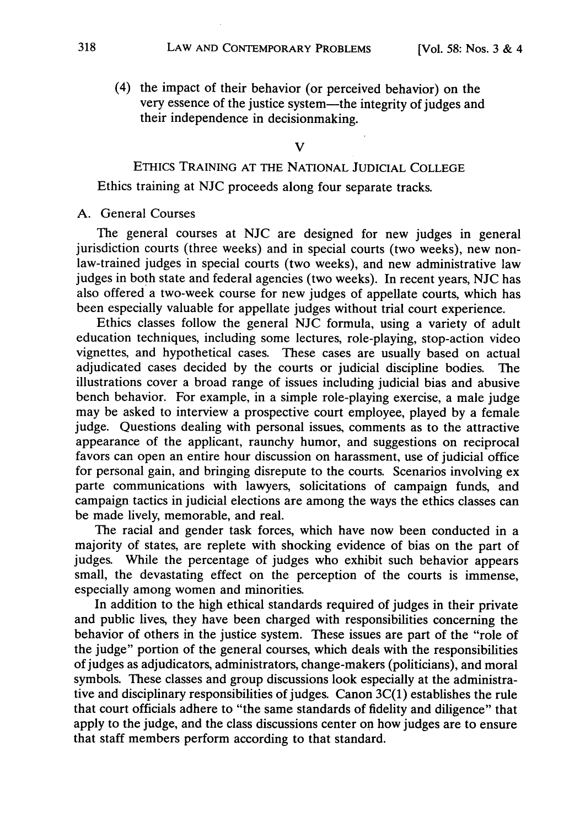(4) the impact of their behavior (or perceived behavior) on the very essence of the justice system-the integrity of judges and their independence in decisionmaking.

#### V

# ETHics **TRAINING AT** THE NATIONAL **JUDICIAL COLLEGE**

Ethics training at NJC proceeds along four separate tracks.

## A. General Courses

The general courses at NJC are designed for new judges in general jurisdiction courts (three weeks) and in special courts (two weeks), new nonlaw-trained judges in special courts (two weeks), and new administrative law judges in both state and federal agencies (two weeks). In recent years, NJC has also offered a two-week course for new judges of appellate courts, which has been especially valuable for appellate judges without trial court experience.

Ethics classes follow the general NJC formula, using a variety of adult education techniques, including some lectures, role-playing, stop-action video vignettes, and hypothetical cases. These cases are usually based on actual adjudicated cases decided by the courts or judicial discipline bodies. The illustrations cover a broad range of issues including judicial bias and abusive bench behavior. For example, in a simple role-playing exercise, a male judge may be asked to interview a prospective court employee, played by a female judge. Questions dealing with personal issues, comments as to the attractive appearance of the applicant, raunchy humor, and suggestions on reciprocal favors can open an entire hour discussion on harassment, use of judicial office for personal gain, and bringing disrepute to the courts. Scenarios involving ex parte communications with lawyers, solicitations of campaign funds, and campaign tactics in judicial elections are among the ways the ethics classes can be made lively, memorable, and real.

The racial and gender task forces, which have now been conducted in a majority of states, are replete with shocking evidence of bias on the part of judges. While the percentage of judges who exhibit such behavior appears small, the devastating effect on the perception of the courts is immense, especially among women and minorities.

In addition to the high ethical standards required of judges in their private and public lives, they have been charged with responsibilities concerning the behavior of others in the justice system. These issues are part of the "role of the judge" portion of the general courses, which deals with the responsibilities of judges as adjudicators, administrators, change-makers (politicians), and moral symbols. These classes and group discussions look especially at the administrative and disciplinary responsibilities of judges. Canon 3C(1) establishes the rule that court officials adhere to "the same standards of fidelity and diligence" that apply to the judge, and the class discussions center on how judges are to ensure that staff members perform according to that standard.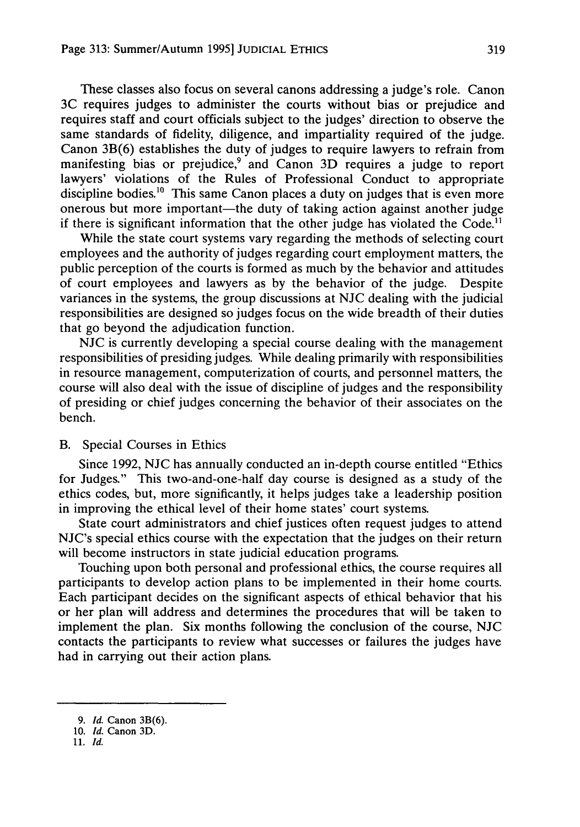These classes also focus on several canons addressing a judge's role. Canon 3C requires judges to administer the courts without bias or prejudice and requires staff and court officials subject to the judges' direction to observe the same standards of fidelity, diligence, and impartiality required of the judge. Canon 3B(6) establishes the duty of judges to require lawyers to refrain from manifesting bias or prejudice,<sup>9</sup> and Canon 3D requires a judge to report lawyers' violations of the Rules of Professional Conduct to appropriate discipline bodies.<sup>10</sup> This same Canon places a duty on judges that is even more onerous but more important-the duty of taking action against another judge if there is significant information that the other judge has violated the  $Code<sup>11</sup>$ 

While the state court systems vary regarding the methods of selecting court employees and the authority of judges regarding court employment matters, the public perception of the courts is formed as much by the behavior and attitudes of court employees and lawyers as by the behavior of the judge. Despite variances in the systems, the group discussions at NJC dealing with the judicial responsibilities are designed so judges focus on the wide breadth of their duties that go beyond the adjudication function.

NJC is currently developing a special course dealing with the management responsibilities of presiding judges. While dealing primarily with responsibilities in resource management, computerization of courts, and personnel matters, the course will also deal with the issue of discipline of judges and the responsibility of presiding or chief judges concerning the behavior of their associates on the bench.

#### B. Special Courses in Ethics

Since 1992, NJC has annually conducted an in-depth course entitled "Ethics for Judges." This two-and-one-half day course is designed as a study of the ethics codes, but, more significantly, it helps judges take a leadership position in improving the ethical level of their home states' court systems.

State court administrators and chief justices often request judges to attend NJC's special ethics course with the expectation that the judges on their return will become instructors in state judicial education programs.

Touching upon both personal and professional ethics, the course requires all participants to develop action plans to be implemented in their home courts. Each participant decides on the significant aspects of ethical behavior that his or her plan will address and determines the procedures that will be taken to implement the plan. Six months following the conclusion of the course, NJC contacts the participants to review what successes or failures the judges have had in carrying out their action plans.

*<sup>9.</sup> Id.* Canon **3B(6).**

**<sup>10.</sup>** *Id.* Canon **3D.**

**<sup>11.</sup>** *Id.*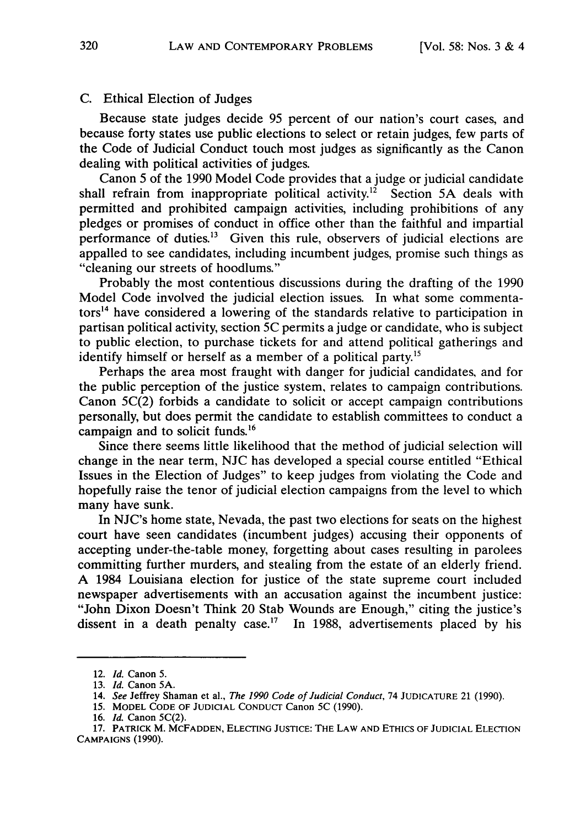#### C. Ethical Election of Judges

Because state judges decide 95 percent of our nation's court cases, and because forty states use public elections to select or retain judges, few parts of the Code of Judicial Conduct touch most judges as significantly as the Canon dealing with political activities of judges.

Canon 5 of the 1990 Model Code provides that a judge or judicial candidate shall refrain from inappropriate political activity.<sup>12</sup> Section 5A deals with permitted and prohibited campaign activities, including prohibitions of any pledges or promises of conduct in office other than the faithful and impartial performance of duties.<sup>13</sup> Given this rule, observers of judicial elections are appalled to see candidates, including incumbent judges, promise such things as "cleaning our streets of hoodlums."

Probably the most contentious discussions during the drafting of the 1990 Model Code involved the judicial election issues. In what some commentators<sup>14</sup> have considered a lowering of the standards relative to participation in partisan political activity, section **5C** permits a judge or candidate, who is subject to public election, to purchase tickets for and attend political gatherings and identify himself or herself as a member of a political party.<sup>15</sup>

Perhaps the area most fraught with danger for judicial candidates, and for the public perception of the justice system, relates to campaign contributions. Canon 5C(2) forbids a candidate to solicit or accept campaign contributions personally, but does permit the candidate to establish committees to conduct a campaign and to solicit funds.'<sup>6</sup>

Since there seems little likelihood that the method of judicial selection will change in the near term, **NJC** has developed a special course entitled "Ethical Issues in the Election of Judges" to keep judges from violating the Code and hopefully raise the tenor of judicial election campaigns from the level to which many have sunk.

In NJC's home state, Nevada, the past two elections for seats on the highest court have seen candidates (incumbent judges) accusing their opponents of accepting under-the-table money, forgetting about cases resulting in parolees committing further murders, and stealing from the estate of an elderly friend. A 1984 Louisiana election for justice of the state supreme court included newspaper advertisements with an accusation against the incumbent justice: "John Dixon Doesn't Think 20 Stab Wounds are Enough," citing the justice's dissent in a death penalty case.<sup>17</sup> In 1988, advertisements placed by his

<sup>12.</sup> *Id.* Canon **5.**

<sup>13.</sup> *Id.* Canon **5A.**

<sup>14.</sup> *See* Jeffrey Shaman et al., *The 1990 Code of Judicial Conduct,* 74 **JUDICATURE** 21 **(1990).**

**<sup>15.</sup>** MODEL **CODE OF JUDICIAL** CONDUCT Canon **5C (1990).**

**<sup>16.</sup>** *Id.* Canon 5C(2).

**<sup>17.</sup>** PATRICK M. MCFADDEN, ELECTING **JUSTICE:** THE LAW **AND ETHICS** OF **JUDICIAL** ELECTION **CAMPAIGNS (1990).**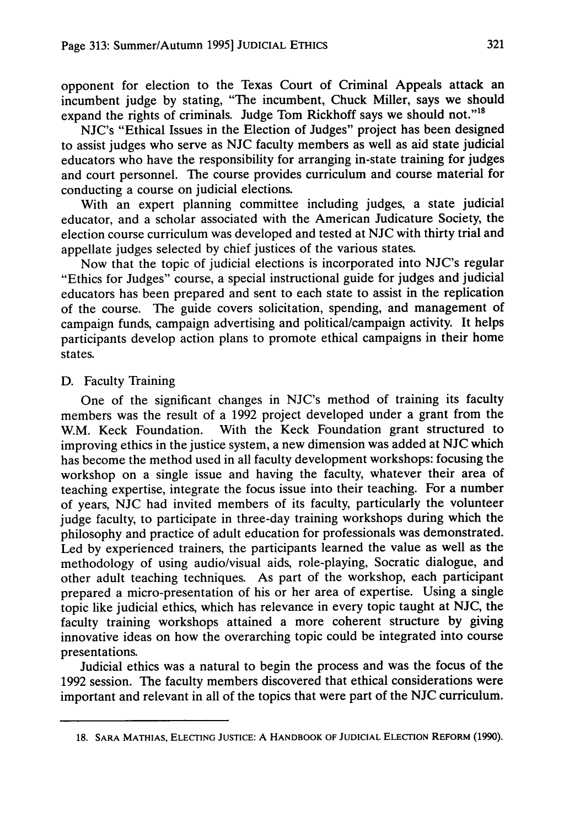opponent for election to the Texas Court of Criminal Appeals attack an incumbent judge by stating, "The incumbent, Chuck Miller, says we should expand the rights of criminals. Judge Tom Rickhoff says we should not."<sup>18</sup>

NJC's "Ethical Issues in the Election of Judges" project has been designed to assist judges who serve as NJC faculty members as well as aid state judicial educators who have the responsibility for arranging in-state training for judges and court personnel. The course provides curriculum and course material for conducting a course on judicial elections.

With an expert planning committee including judges, a state judicial educator, and a scholar associated with the American Judicature Society, the election course curriculum was developed and tested at NJC with thirty trial and appellate judges selected by chief justices of the various states.

Now that the topic of judicial elections is incorporated into NJC's regular "Ethics for Judges" course, a special instructional guide for judges and judicial educators has been prepared and sent to each state to assist in the replication of the course. The guide covers solicitation, spending, and management of campaign funds, campaign advertising and political/campaign activity. It helps participants develop action plans to promote ethical campaigns in their home states.

### D. Faculty Training

One of the significant changes in NJC's method of training its faculty members was the result of a 1992 project developed under a grant from the W.M. Keck Foundation. With the Keck Foundation grant structured to improving ethics in the justice system, a new dimension was added at NJC which has become the method used in all faculty development workshops: focusing the workshop on a single issue and having the faculty, whatever their area of teaching expertise, integrate the focus issue into their teaching. For a number of years, NJC had invited members of its faculty, particularly the volunteer judge faculty, to participate in three-day training workshops during which the philosophy and practice of adult education for professionals was demonstrated. Led by experienced trainers, the participants learned the value as well as the methodology of using audio/visual aids, role-playing, Socratic dialogue, and other adult teaching techniques. As part of the workshop, each participant prepared a micro-presentation of his or her area of expertise. Using a single topic like judicial ethics, which has relevance in every topic taught at NJC, the faculty training workshops attained a more coherent structure by giving innovative ideas on how the overarching topic could be integrated into course presentations.

Judicial ethics was a natural to begin the process and was the focus of the 1992 session. The faculty members discovered that ethical considerations were important and relevant in all of the topics that were part of the NJC curriculum.

**<sup>18.</sup> SARA MATHIAS, ELECTING JUSTICE: A** HANDBOOK OF **JUDICIAL** ELECTION **REFORM** (1990).